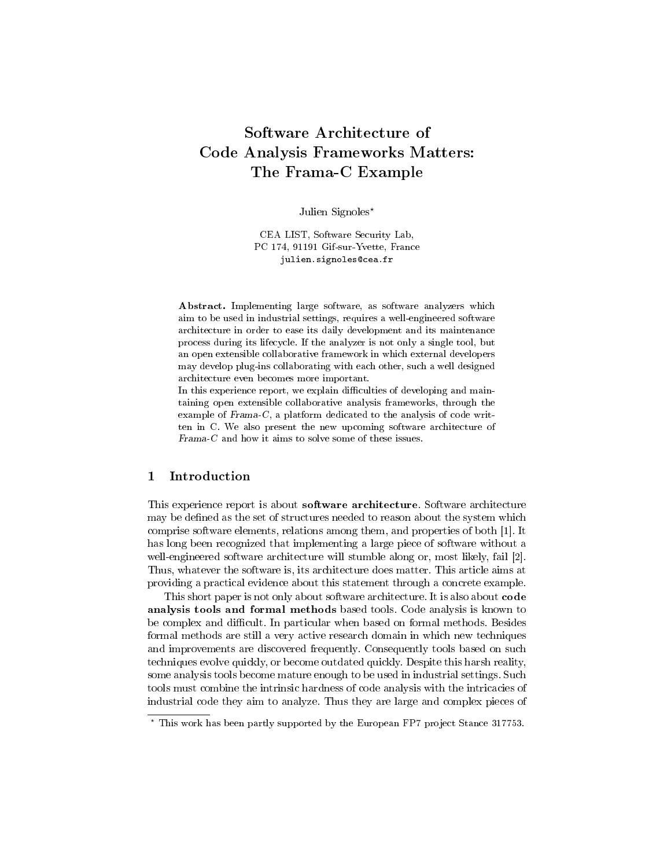# Software Architecture of Code Analysis Frameworks Matters: The Frama-C Example

Julien Signoles\*

CEA LIST, Software Security Lab, PC 174, 91191 Gif-sur-Yvette, France julien.signoles@cea.fr

Abstract. Implementing large software, as software analyzers which aim to be used in industrial settings, requires a well-engineered software architecture in order to ease its daily development and its maintenance process during its lifecycle. If the analyzer is not only a single tool, but an open extensible collaborative framework in which external developers may develop plug-ins collaborating with each other, such a well designed architecture even becomes more important.

In this experience report, we explain difficulties of developing and maintaining open extensible collaborative analysis frameworks, through the example of Frama-C, a platform dedicated to the analysis of code written in C. We also present the new upcoming software architecture of Frama-C and how it aims to solve some of these issues.

## 1 Introduction

This experience report is about software architecture. Software architecture may be defined as the set of structures needed to reason about the system which comprise software elements, relations among them, and properties of both [1]. It has long been recognized that implementing a large piece of software without a well-engineered software architecture will stumble along or, most likely, fail [2]. Thus, whatever the software is, its architecture does matter. This article aims at providing a practical evidence about this statement through a concrete example.

This short paper is not only about software architecture. It is also about code analysis tools and formal methods based tools. Code analysis is known to be complex and difficult. In particular when based on formal methods. Besides formal methods are still a very active research domain in which new techniques and improvements are discovered frequently. Consequently tools based on such techniques evolve quickly, or become outdated quickly. Despite this harsh reality, some analysis tools become mature enough to be used in industrial settings. Such tools must combine the intrinsic hardness of code analysis with the intricacies of industrial code they aim to analyze. Thus they are large and complex pieces of

<sup>?</sup> This work has been partly supported by the European FP7 project Stance 317753.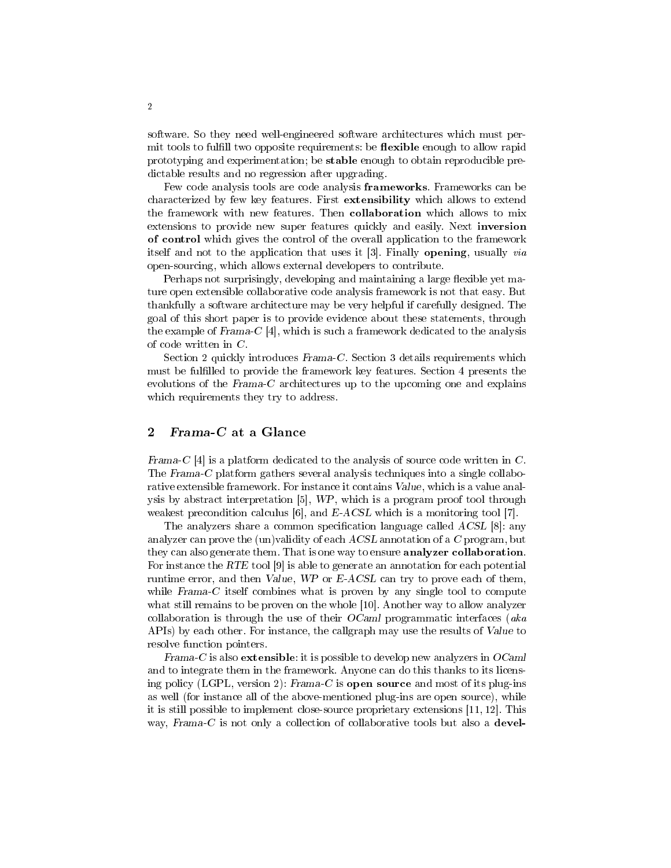software. So they need well-engineered software architectures which must permit tools to fulfill two opposite requirements: be **flexible** enough to allow rapid prototyping and experimentation; be stable enough to obtain reproducible predictable results and no regression after upgrading.

Few code analysis tools are code analysis frameworks. Frameworks can be characterized by few key features. First extensibility which allows to extend the framework with new features. Then collaboration which allows to mix extensions to provide new super features quickly and easily. Next inversion of control which gives the control of the overall application to the framework itself and not to the application that uses it [3]. Finally opening, usually via open-sourcing, which allows external developers to contribute.

Perhaps not surprisingly, developing and maintaining a large flexible yet mature open extensible collaborative code analysis framework is not that easy. But thankfully a software architecture may be very helpful if carefully designed. The goal of this short paper is to provide evidence about these statements, through the example of Frama-C [4], which is such a framework dedicated to the analysis of code written in C.

Section 2 quickly introduces Frama-C. Section 3 details requirements which must be fullled to provide the framework key features. Section 4 presents the evolutions of the Frama-C architectures up to the upcoming one and explains which requirements they try to address.

## 2 Frama-C at a Glance

Frama-C [4] is a platform dedicated to the analysis of source code written in C. The Frama-C platform gathers several analysis techniques into a single collaborative extensible framework. For instance it contains Value, which is a value analysis by abstract interpretation [5], WP, which is a program proof tool through weakest precondition calculus [6], and E-ACSL which is a monitoring tool [7].

The analyzers share a common specification language called  $ACSL$  [8]: any analyzer can prove the (un)validity of each ACSL annotation of a C program, but they can also generate them. That is one way to ensure **analyzer collaboration**. For instance the RTE tool [9] is able to generate an annotation for each potential runtime error, and then Value, WP or E-ACSL can try to prove each of them, while Frama-C itself combines what is proven by any single tool to compute what still remains to be proven on the whole [10]. Another way to allow analyzer collaboration is through the use of their  $OCam$  programmatic interfaces (aka APIs) by each other. For instance, the callgraph may use the results of Value to resolve function pointers.

Frama-C is also extensible: it is possible to develop new analyzers in  $OCaml$ and to integrate them in the framework. Anyone can do this thanks to its licensing policy (LGPL, version 2): Frama-C is open source and most of its plug-ins as well (for instance all of the above-mentioned plug-ins are open source), while it is still possible to implement close-source proprietary extensions [11, 12]. This way, Frama-C is not only a collection of collaborative tools but also a devel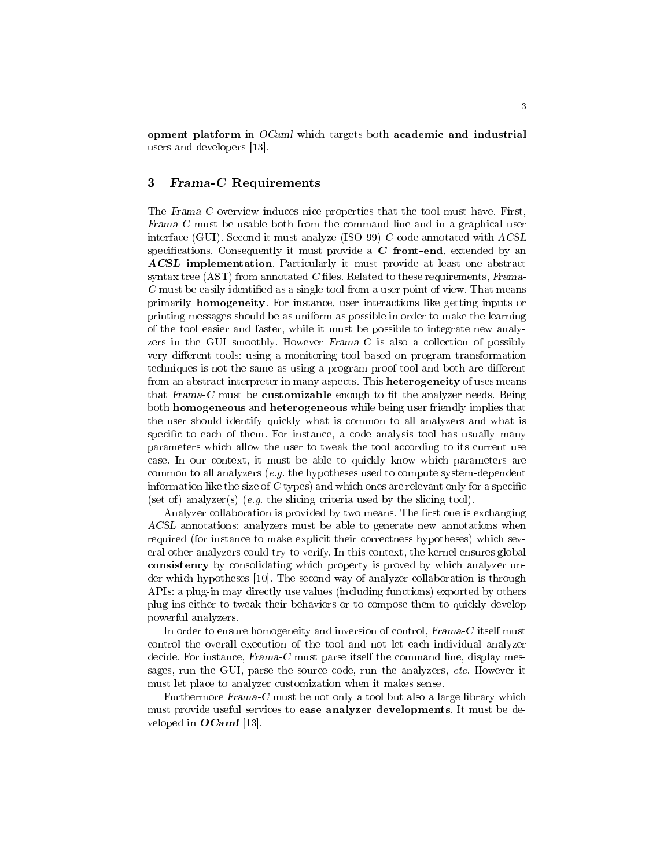opment platform in OCaml which targets both academic and industrial users and developers [13].

## 3 Frama-C Requirements

The Frama-C overview induces nice properties that the tool must have. First, Frama-C must be usable both from the command line and in a graphical user interface (GUI). Second it must analyze (ISO 99) C code annotated with ACSL specifications. Consequently it must provide a  $C$  front-end, extended by an ACSL implementation. Particularly it must provide at least one abstract syntax tree (AST) from annotated  $C$  files. Related to these requirements, Frama- $C$  must be easily identified as a single tool from a user point of view. That means primarily homogeneity. For instance, user interactions like getting inputs or printing messages should be as uniform as possible in order to make the learning of the tool easier and faster, while it must be possible to integrate new analyzers in the GUI smoothly. However Frama-C is also a collection of possibly very different tools: using a monitoring tool based on program transformation techniques is not the same as using a program proof tool and both are different from an abstract interpreter in many aspects. This **heterogeneity** of uses means that Frama-C must be customizable enough to fit the analyzer needs. Being both homogeneous and heterogeneous while being user friendly implies that the user should identify quickly what is common to all analyzers and what is specific to each of them. For instance, a code analysis tool has usually many parameters which allow the user to tweak the tool according to its current use case. In our context, it must be able to quickly know which parameters are common to all analyzers  $(e, q, e)$  the hypotheses used to compute system-dependent information like the size of  $C$  types) and which ones are relevant only for a specific (set of) analyzer(s) (e.g. the slicing criteria used by the slicing tool).

Analyzer collaboration is provided by two means. The first one is exchanging ACSL annotations: analyzers must be able to generate new annotations when required (for instance to make explicit their correctness hypotheses) which several other analyzers could try to verify. In this context, the kernel ensures global consistency by consolidating which property is proved by which analyzer under which hypotheses [10]. The second way of analyzer collaboration is through APIs: a plug-in may directly use values (including functions) exported by others plug-ins either to tweak their behaviors or to compose them to quickly develop powerful analyzers.

In order to ensure homogeneity and inversion of control, Frama-C itself must control the overall execution of the tool and not let each individual analyzer decide. For instance, Frama-C must parse itself the command line, display messages, run the GUI, parse the source code, run the analyzers, etc. However it must let place to analyzer customization when it makes sense.

Furthermore Frama-C must be not only a tool but also a large library which must provide useful services to ease analyzer developments. It must be developed in **OCaml** [13].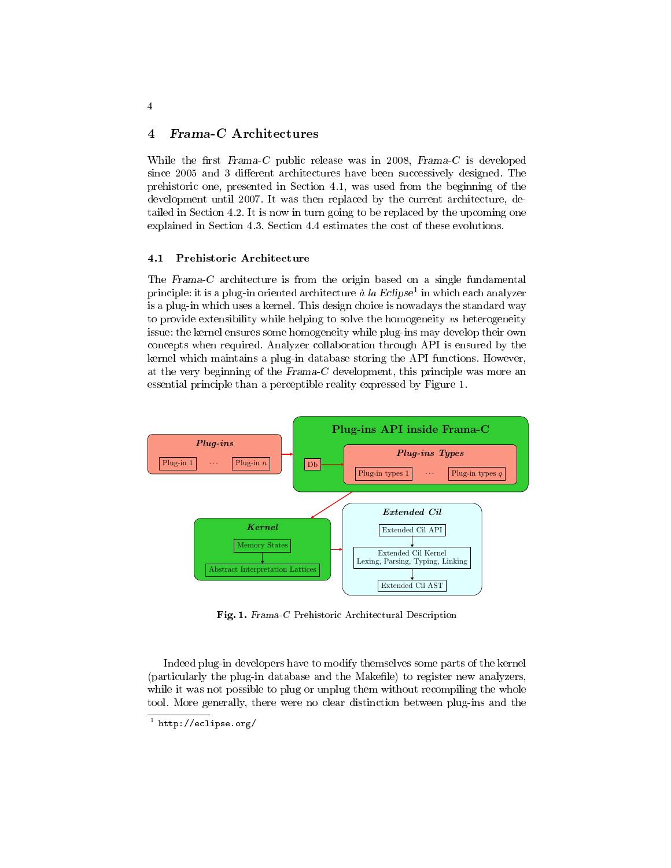## 4 Frama-C Architectures

While the first  $Frama-C$  public release was in 2008,  $Frama-C$  is developed since 2005 and 3 different architectures have been successively designed. The prehistoric one, presented in Section 4.1, was used from the beginning of the development until 2007. It was then replaced by the current architecture, detailed in Section 4.2. It is now in turn going to be replaced by the upcoming one explained in Section 4.3. Section 4.4 estimates the cost of these evolutions.

#### 4.1 Prehistoric Architecture

The Frama-C architecture is from the origin based on a single fundamental principle: it is a plug-in oriented architecture  $\aa$  la Eclipse<sup>1</sup> in which each analyzer is a plug-in which uses a kernel. This design choice is nowadays the standard way to provide extensibility while helping to solve the homogeneity vs heterogeneity issue: the kernel ensures some homogeneity while plug-ins may develop their own concepts when required. Analyzer collaboration through API is ensured by the kernel which maintains a plug-in database storing the API functions. However, at the very beginning of the Frama-C development, this principle was more an essential principle than a perceptible reality expressed by Figure 1.



Fig. 1. Frama-C Prehistoric Architectural Description

Indeed plug-in developers have to modify themselves some parts of the kernel (particularly the plug-in database and the Makefile) to register new analyzers, while it was not possible to plug or unplug them without recompiling the whole tool. More generally, there were no clear distinction between plug-ins and the

<sup>1</sup> http://eclipse.org/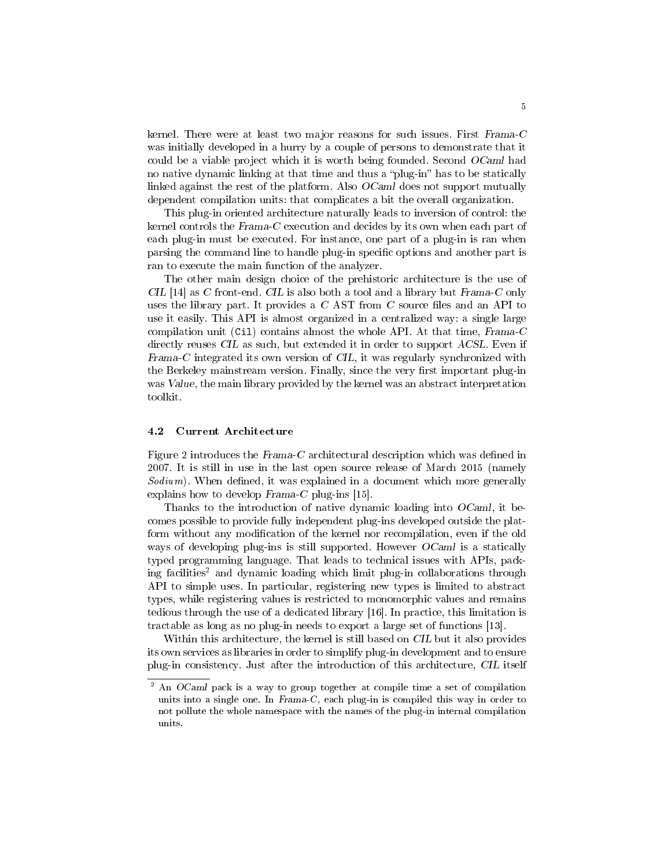kernel. There were at least two major reasons for such issues. First Frama-C was initially developed in a hurry by a couple of persons to demonstrate that it could be a viable project which it is worth being founded. Second OCaml had no native dynamic linking at that time and thus a "plug-in" has to be statically linked against the rest of the platform. Also OCaml does not support mutually dependent compilation units: that complicates a bit the overall organization.

This plug-in oriented architecture naturally leads to inversion of control: the kernel controls the Frama-C execution and decides by its own when each part of each plug-in must be executed. For instance, one part of a plug-in is ran when parsing the command line to handle plug-in specific options and another part is ran to execute the main function of the analyzer.

The other main design choice of the prehistoric architecture is the use of  $CL$  [14] as C front-end.  $CL$  is also both a tool and a library but Frama-C only uses the library part. It provides a  $C$  AST from  $C$  source files and an API to use it easily. This API is almost organized in a centralized way: a single large compilation unit (Cil) contains almost the whole API. At that time, Frama-C directly reuses CIL as such, but extended it in order to support ACSL. Even if Frama-C integrated its own version of CIL, it was regularly synchronized with the Berkeley mainstream version. Finally, since the very first important plug-in was Value, the main library provided by the kernel was an abstract interpretation toolkit.

#### 4.2 Current Architecture

Figure 2 introduces the  $Frama-C$  architectural description which was defined in 2007. It is still in use in the last open source release of March 2015 (namely  $Sodium)$ . When defined, it was explained in a document which more generally explains how to develop Frama-C plug-ins [15].

Thanks to the introduction of native dynamic loading into OCaml, it becomes possible to provide fully independent plug-ins developed outside the platform without any modification of the kernel nor recompilation, even if the old ways of developing plug-ins is still supported. However *OCaml* is a statically typed programming language. That leads to technical issues with APIs, packing facilities<sup>2</sup> and dynamic loading which limit plug-in collaborations through API to simple uses. In particular, registering new types is limited to abstract types, while registering values is restricted to monomorphic values and remains tedious through the use of a dedicated library [16]. In practice, this limitation is tractable as long as no plug-in needs to export a large set of functions [13].

Within this architecture, the kernel is still based on CIL but it also provides its own services as libraries in order to simplify plug-in development and to ensure plug-in consistency. Just after the introduction of this architecture, CIL itself

<sup>2</sup> An OCaml pack is a way to group together at compile time a set of compilation units into a single one. In Frama-C, each plug-in is compiled this way in order to not pollute the whole namespace with the names of the plug-in internal compilation units.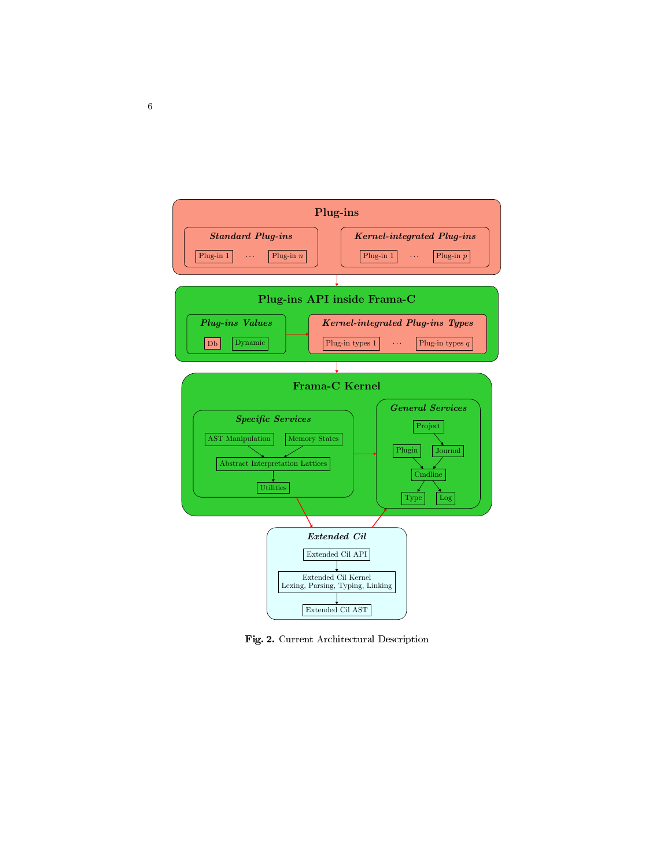

Fig. 2. Current Architectural Description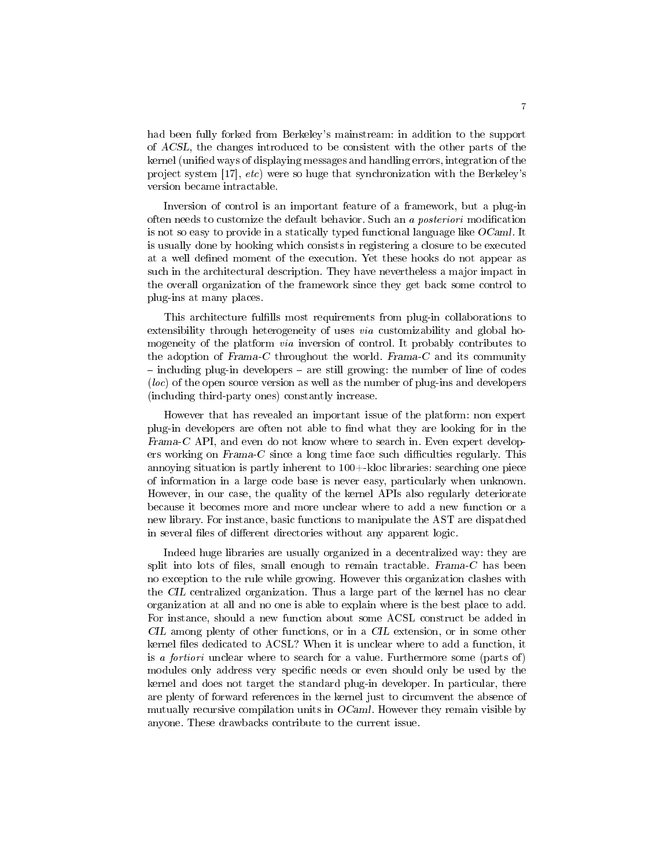had been fully forked from Berkeley's mainstream: in addition to the support of ACSL, the changes introduced to be consistent with the other parts of the kernel (unified ways of displaying messages and handling errors, integration of the project system [17], etc) were so huge that synchronization with the Berkeley's version became intractable.

Inversion of control is an important feature of a framework, but a plug-in often needs to customize the default behavior. Such an a *posteriori* modification is not so easy to provide in a statically typed functional language like  $OCaml$ . It is usually done by hooking which consists in registering a closure to be executed at a well defined moment of the execution. Yet these hooks do not appear as such in the architectural description. They have nevertheless a major impact in the overall organization of the framework since they get back some control to plug-ins at many places.

This architecture fullls most requirements from plug-in collaborations to extensibility through heterogeneity of uses via customizability and global homogeneity of the platform via inversion of control. It probably contributes to the adoption of  $Frame-C$  throughout the world.  $Frame-C$  and its community - including plug-in developers - are still growing: the number of line of codes (loc) of the open source version as well as the number of plug-ins and developers (including third-party ones) constantly increase.

However that has revealed an important issue of the platform: non expert plug-in developers are often not able to find what they are looking for in the Frama-C API, and even do not know where to search in. Even expert developers working on  $Frame-C$  since a long time face such difficulties regularly. This annoying situation is partly inherent to 100+-kloc libraries: searching one piece of information in a large code base is never easy, particularly when unknown. However, in our case, the quality of the kernel APIs also regularly deteriorate because it becomes more and more unclear where to add a new function or a new library. For instance, basic functions to manipulate the AST are dispatched in several files of different directories without any apparent logic.

Indeed huge libraries are usually organized in a decentralized way: they are split into lots of files, small enough to remain tractable. Frama- $C$  has been no exception to the rule while growing. However this organization clashes with the CIL centralized organization. Thus a large part of the kernel has no clear organization at all and no one is able to explain where is the best place to add. For instance, should a new function about some ACSL construct be added in CIL among plenty of other functions, or in a CIL extension, or in some other kernel files dedicated to ACSL? When it is unclear where to add a function, it is a fortiori unclear where to search for a value. Furthermore some (parts of) modules only address very specific needs or even should only be used by the kernel and does not target the standard plug-in developer. In particular, there are plenty of forward references in the kernel just to circumvent the absence of mutually recursive compilation units in  $OCam$ . However they remain visible by anyone. These drawbacks contribute to the current issue.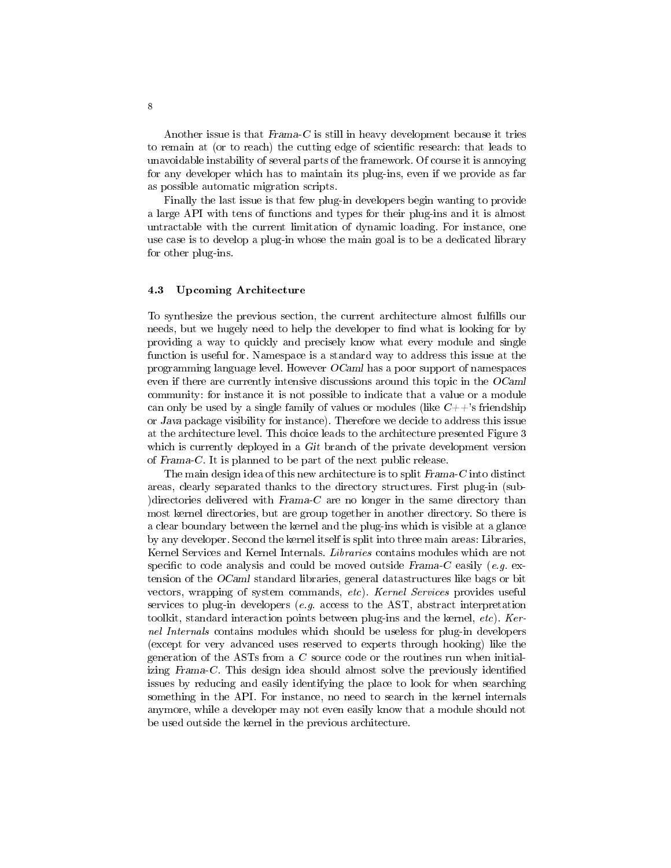Another issue is that Frama-C is still in heavy development because it tries to remain at (or to reach) the cutting edge of scientific research: that leads to unavoidable instability of several parts of the framework. Of course it is annoying for any developer which has to maintain its plug-ins, even if we provide as far as possible automatic migration scripts.

Finally the last issue is that few plug-in developers begin wanting to provide a large API with tens of functions and types for their plug-ins and it is almost untractable with the current limitation of dynamic loading. For instance, one use case is to develop a plug-in whose the main goal is to be a dedicated library for other plug-ins.

#### 4.3 Upcoming Architecture

To synthesize the previous section, the current architecture almost fullls our needs, but we hugely need to help the developer to find what is looking for by providing a way to quickly and precisely know what every module and single function is useful for. Namespace is a standard way to address this issue at the programming language level. However  $OCaml$  has a poor support of namespaces even if there are currently intensive discussions around this topic in the OCaml community: for instance it is not possible to indicate that a value or a module can only be used by a single family of values or modules (like  $C++$ 's friendship or Java package visibility for instance). Therefore we decide to address this issue at the architecture level. This choice leads to the architecture presented Figure 3 which is currently deployed in a Git branch of the private development version of Frama-C. It is planned to be part of the next public release.

The main design idea of this new architecture is to split Frama-C into distinct areas, clearly separated thanks to the directory structures. First plug-in (sub- )directories delivered with  $Frama-C$  are no longer in the same directory than most kernel directories, but are group together in another directory. So there is a clear boundary between the kernel and the plug-ins which is visible at a glance by any developer. Second the kernel itself is split into three main areas: Libraries, Kernel Services and Kernel Internals. Libraries contains modules which are not specific to code analysis and could be moved outside Frama-C easily (e.g. extension of the OCaml standard libraries, general datastructures like bags or bit vectors, wrapping of system commands, etc). Kernel Services provides useful services to plug-in developers (e.g. access to the AST, abstract interpretation toolkit, standard interaction points between plug-ins and the kernel,  $etc$ ). Kernel Internals contains modules which should be useless for plug-in developers (except for very advanced uses reserved to experts through hooking) like the generation of the ASTs from a C source code or the routines run when initializing Frama-C. This design idea should almost solve the previously identified issues by reducing and easily identifying the place to look for when searching something in the API. For instance, no need to search in the kernel internals anymore, while a developer may not even easily know that a module should not be used outside the kernel in the previous architecture.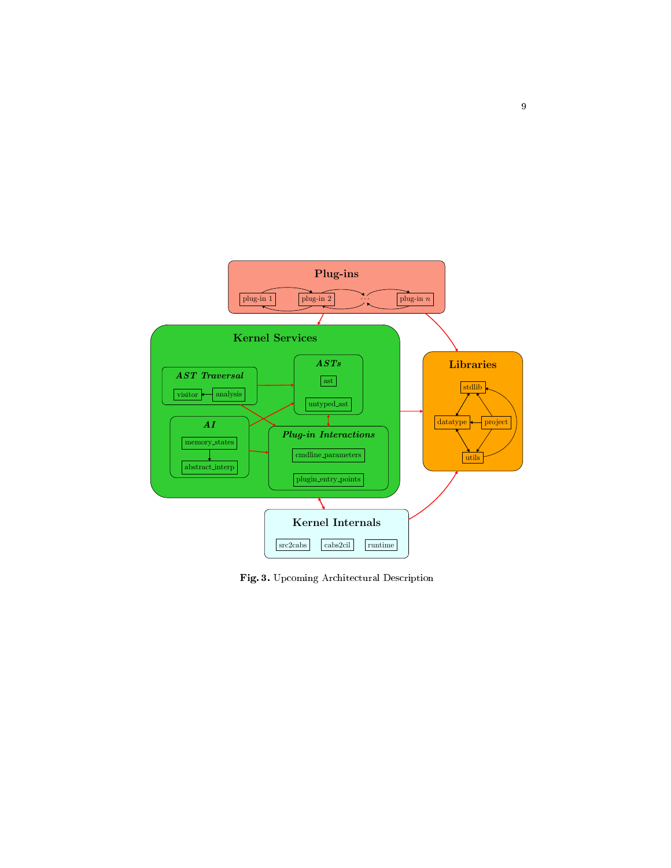

Fig. 3. Upcoming Architectural Description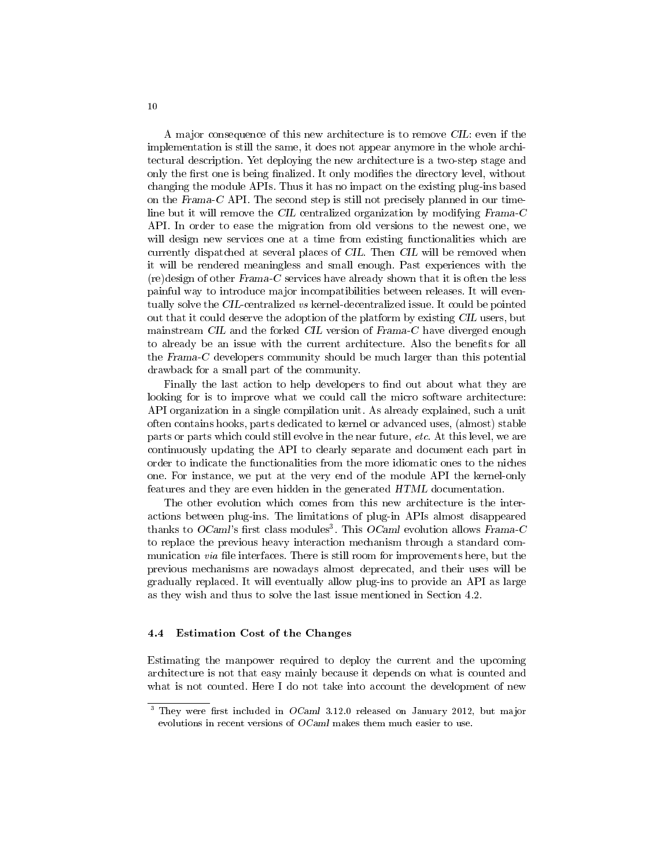A major consequence of this new architecture is to remove CIL: even if the implementation is still the same, it does not appear anymore in the whole architectural description. Yet deploying the new architecture is a two-step stage and only the first one is being finalized. It only modifies the directory level, without changing the module APIs. Thus it has no impact on the existing plug-ins based on the Frama-C API. The second step is still not precisely planned in our timeline but it will remove the CIL centralized organization by modifying Frama-C API. In order to ease the migration from old versions to the newest one, we will design new services one at a time from existing functionalities which are currently dispatched at several places of CIL. Then CIL will be removed when it will be rendered meaningless and small enough. Past experiences with the (re)design of other Frama-C services have already shown that it is often the less painful way to introduce major incompatibilities between releases. It will eventually solve the CIL-centralized vs kernel-decentralized issue. It could be pointed out that it could deserve the adoption of the platform by existing CIL users, but mainstream CIL and the forked CIL version of Frama-C have diverged enough to already be an issue with the current architecture. Also the benefits for all the Frama-C developers community should be much larger than this potential drawback for a small part of the community.

Finally the last action to help developers to find out about what they are looking for is to improve what we could call the micro software architecture: API organization in a single compilation unit. As already explained, such a unit often contains hooks, parts dedicated to kernel or advanced uses, (almost) stable parts or parts which could still evolve in the near future, etc. At this level, we are continuously updating the API to clearly separate and document each part in order to indicate the functionalities from the more idiomatic ones to the niches one. For instance, we put at the very end of the module API the kernel-only features and they are even hidden in the generated HTML documentation.

The other evolution which comes from this new architecture is the interactions between plug-ins. The limitations of plug-in APIs almost disappeared thanks to  $OCaml$ 's first class modules<sup>3</sup>. This  $OCaml$  evolution allows Frama-C to replace the previous heavy interaction mechanism through a standard communication via file interfaces. There is still room for improvements here, but the previous mechanisms are nowadays almost deprecated, and their uses will be gradually replaced. It will eventually allow plug-ins to provide an API as large as they wish and thus to solve the last issue mentioned in Section 4.2.

#### 4.4 Estimation Cost of the Changes

Estimating the manpower required to deploy the current and the upcoming architecture is not that easy mainly because it depends on what is counted and what is not counted. Here I do not take into account the development of new

 $3$  They were first included in  $OCaml$  3.12.0 released on January 2012, but major evolutions in recent versions of OCaml makes them much easier to use.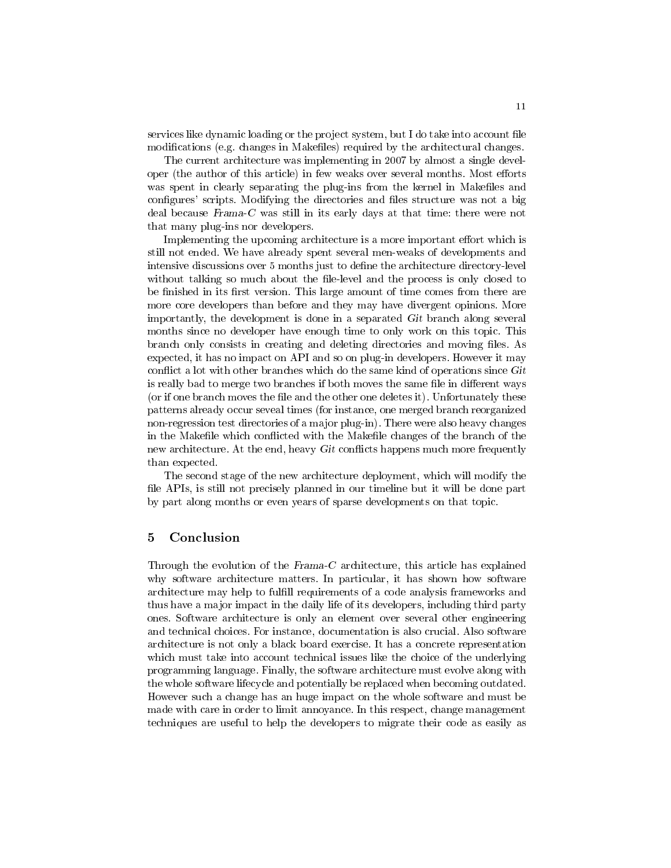services like dynamic loading or the project system, but I do take into account file modifications (e.g. changes in Makefiles) required by the architectural changes.

The current architecture was implementing in 2007 by almost a single developer (the author of this article) in few weaks over several months. Most efforts was spent in clearly separating the plug-ins from the kernel in Makefiles and configures' scripts. Modifying the directories and files structure was not a big deal because Frama-C was still in its early days at that time: there were not that many plug-ins nor developers.

Implementing the upcoming architecture is a more important effort which is still not ended. We have already spent several men-weaks of developments and intensive discussions over 5 months just to define the architecture directory-level without talking so much about the file-level and the process is only closed to be finished in its first version. This large amount of time comes from there are more core developers than before and they may have divergent opinions. More importantly, the development is done in a separated Git branch along several months since no developer have enough time to only work on this topic. This branch only consists in creating and deleting directories and moving files. As expected, it has no impact on API and so on plug-in developers. However it may conflict a lot with other branches which do the same kind of operations since  $Git$ is really bad to merge two branches if both moves the same file in different ways (or if one branch moves the file and the other one deletes it). Unfortunately these patterns already occur seveal times (for instance, one merged branch reorganized non-regression test directories of a major plug-in). There were also heavy changes in the Makefile which conflicted with the Makefile changes of the branch of the new architecture. At the end, heavy Git conflicts happens much more frequently than expected.

The second stage of the new architecture deployment, which will modify the file APIs, is still not precisely planned in our timeline but it will be done part by part along months or even years of sparse developments on that topic.

## 5 Conclusion

Through the evolution of the Frama-C architecture, this article has explained why software architecture matters. In particular, it has shown how software architecture may help to fulll requirements of a code analysis frameworks and thus have a major impact in the daily life of its developers, including third party ones. Software architecture is only an element over several other engineering and technical choices. For instance, documentation is also crucial. Also software architecture is not only a black board exercise. It has a concrete representation which must take into account technical issues like the choice of the underlying programming language. Finally, the software architecture must evolve along with the whole software lifecycle and potentially be replaced when becoming outdated. However such a change has an huge impact on the whole software and must be made with care in order to limit annoyance. In this respect, change management techniques are useful to help the developers to migrate their code as easily as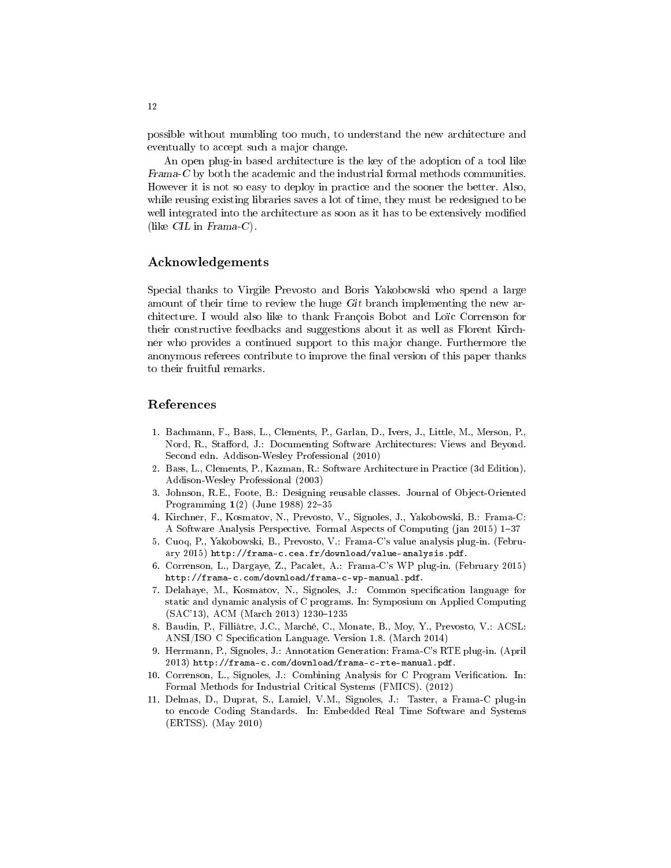possible without mumbling too much, to understand the new architecture and eventually to accept such a major change.

An open plug-in based architecture is the key of the adoption of a tool like Frama-C by both the academic and the industrial formal methods communities. However it is not so easy to deploy in practice and the sooner the better. Also, while reusing existing libraries saves a lot of time, they must be redesigned to be well integrated into the architecture as soon as it has to be extensively modified (like CIL in Frama-C).

#### Acknowledgements

Special thanks to Virgile Prevosto and Boris Yakobowski who spend a large amount of their time to review the huge Git branch implementing the new architecture. I would also like to thank François Bobot and Loïc Correnson for their constructive feedbacks and suggestions about it as well as Florent Kirchner who provides a continued support to this major change. Furthermore the anonymous referees contribute to improve the final version of this paper thanks to their fruitful remarks.

## References

- 1. Bachmann, F., Bass, L., Clements, P., Garlan, D., Ivers, J., Little, M., Merson, P., Nord, R., Stafford, J.: Documenting Software Architectures: Views and Beyond. Second edn. Addison-Wesley Professional (2010)
- 2. Bass, L., Clements, P., Kazman, R.: Software Architecture in Practice (3d Edition). Addison-Wesley Professional (2003)
- 3. Johnson, R.E., Foote, B.: Designing reusable classes. Journal of Object-Oriented Programming  $1(2)$  (June 1988) 22-35
- 4. Kirchner, F., Kosmatov, N., Prevosto, V., Signoles, J., Yakobowski, B.: Frama-C: A Software Analysis Perspective. Formal Aspects of Computing (jan 2015) 1-37
- 5. Cuoq, P., Yakobowski, B., Prevosto, V.: Frama-C's value analysis plug-in. (February 2015) http://frama-c.cea.fr/download/value-analysis.pdf.
- 6. Correnson, L., Dargaye, Z., Pacalet, A.: Frama-C's WP plug-in. (February 2015) http://frama-c.com/download/frama-c-wp-manual.pdf.
- 7. Delahaye, M., Kosmatov, N., Signoles, J.: Common specification language for static and dynamic analysis of C programs. In: Symposium on Applied Computing (SAC'13), ACM (March 2013) 1230-1235
- 8. Baudin, P., Filliâtre, J.C., Marché, C., Monate, B., Moy, Y., Prevosto, V.: ACSL: ANSI/ISO C Specification Language. Version 1.8. (March 2014)
- 9. Herrmann, P., Signoles, J.: Annotation Generation: Frama-C's RTE plug-in. (April 2013) http://frama-c.com/download/frama-c-rte-manual.pdf.
- 10. Correnson, L., Signoles, J.: Combining Analysis for C Program Verification. In: Formal Methods for Industrial Critical Systems (FMICS). (2012)
- 11. Delmas, D., Duprat, S., Lamiel, V.M., Signoles, J.: Taster, a Frama-C plug-in to encode Coding Standards. In: Embedded Real Time Software and Systems (ERTSS). (May 2010)

12